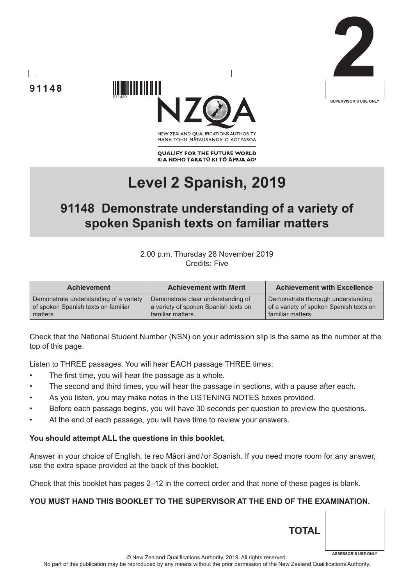





NEW ZEALAND OUALIFICATIONS AUTHORITY MANA TOHU MATAURANGA O AOTEAROA

**QUALIFY FOR THE FUTURE WORLD** KIA NOHO TAKATŪ KI TŌ ĀMUA AO!

# **Level 2 Spanish, 2019**

## **91148 Demonstrate understanding of a variety of spoken Spanish texts on familiar matters**

2.00 p.m. Thursday 28 November 2019 Credits: Five

| <b>Achievement</b>                     | <b>Achievement with Merit</b>        | <b>Achievement with Excellence</b>      |
|----------------------------------------|--------------------------------------|-----------------------------------------|
| Demonstrate understanding of a variety | Demonstrate clear understanding of   | Demonstrate thorough understanding      |
| of spoken Spanish texts on familiar    | a variety of spoken Spanish texts on | of a variety of spoken Spanish texts on |
| matters.                               | familiar matters.                    | familiar matters.                       |

Check that the National Student Number (NSN) on your admission slip is the same as the number at the top of this page.

Listen to THREE passages. You will hear EACH passage THREE times:

- The first time, you will hear the passage as a whole.
- The second and third times, you will hear the passage in sections, with a pause after each.
- As you listen, you may make notes in the LISTENING NOTES boxes provided.
- Before each passage begins, you will have 30 seconds per question to preview the questions.
- At the end of each passage, you will have time to review your answers.

### **You should attempt ALL the questions in this booklet.**

Answer in your choice of English, te reo Māori and/or Spanish. If you need more room for any answer, use the extra space provided at the back of this booklet.

Check that this booklet has pages 2–12 in the correct order and that none of these pages is blank.

### **YOU MUST HAND THIS BOOKLET TO THE SUPERVISOR AT THE END OF THE EXAMINATION.**

© New Zealand Qualifications Authority, 2019. All rights reserved. No part of this publication may be reproduced by any means without the prior permission of the New Zealand Qualifications Authority. **ASSESSOR'S USE ONLY**

**TOTAL**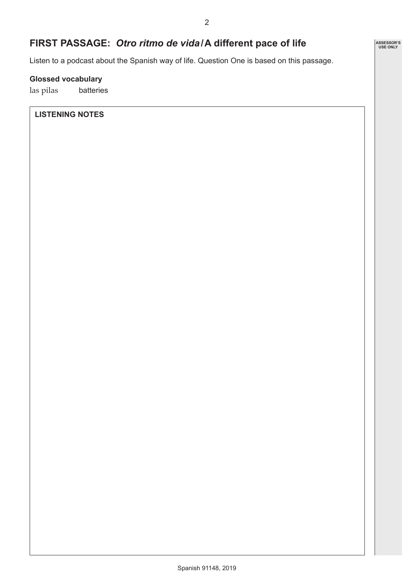**ASSESSOR'S USE ONLY**

### **FIRST PASSAGE:** *Otro ritmo de vida***/A different pace of life**

Listen to a podcast about the Spanish way of life. Question One is based on this passage.

### **Glossed vocabulary**

las pilas batteries

### **LISTENING NOTES**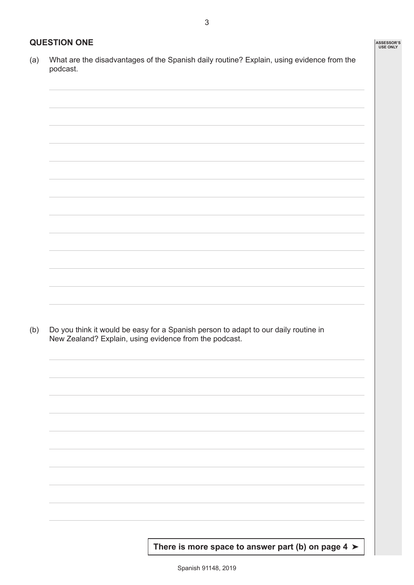### **QUESTION ONE**

(a) What are the disadvantages of the Spanish daily routine? Explain, using evidence from the podcast.

(b) Do you think it would be easy for a Spanish person to adapt to our daily routine in New Zealand? Explain, using evidence from the podcast.

**ASSESSOR'S USE ONLY**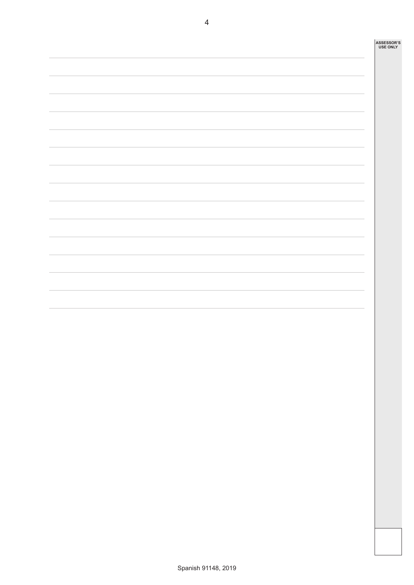| ASSESSOR'S<br>USE ONLY |
|------------------------|
|                        |
|                        |
|                        |
|                        |
|                        |
|                        |
|                        |
|                        |
|                        |
|                        |
|                        |
|                        |
|                        |
|                        |
|                        |
|                        |
|                        |
|                        |
|                        |
|                        |
|                        |
|                        |
|                        |
|                        |
|                        |
|                        |
|                        |
|                        |
|                        |
|                        |
|                        |
|                        |
|                        |
|                        |
|                        |
|                        |
|                        |
|                        |
|                        |
|                        |
|                        |
|                        |
|                        |
|                        |
|                        |
|                        |
|                        |
|                        |
|                        |
|                        |
|                        |
|                        |
|                        |
|                        |
|                        |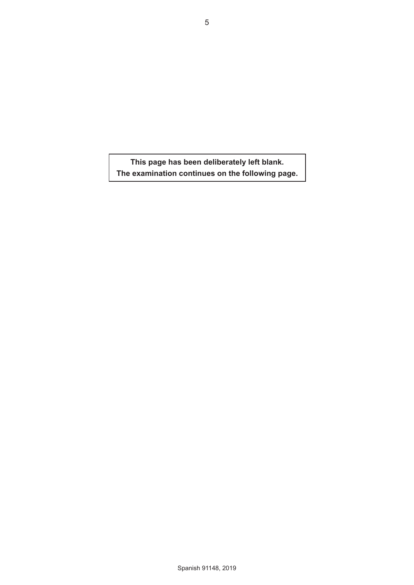**This page has been deliberately left blank. The examination continues on the following page.**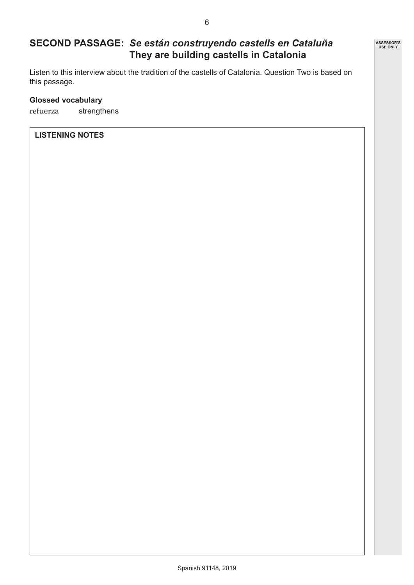### **SECOND PASSAGE:** *Se están construyendo castells en Cataluña* **They are building castells in Catalonia**

Listen to this interview about the tradition of the castells of Catalonia. Question Two is based on this passage.

#### **Glossed vocabulary**

refuerza strengthens

**LISTENING NOTES**

**ASSESSOR'S USE ONLY**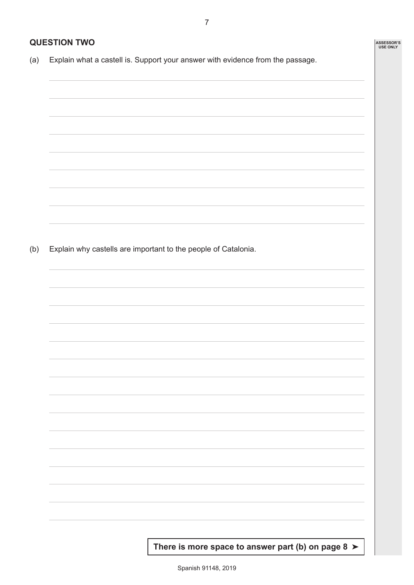**ASSESSOR'S USE ONLY**

### **QUESTION TWO**

(a) Explain what a castell is. Support your answer with evidence from the passage.

(b) Explain why castells are important to the people of Catalonia.

**There is more space to answer part (b) on page 8** ➤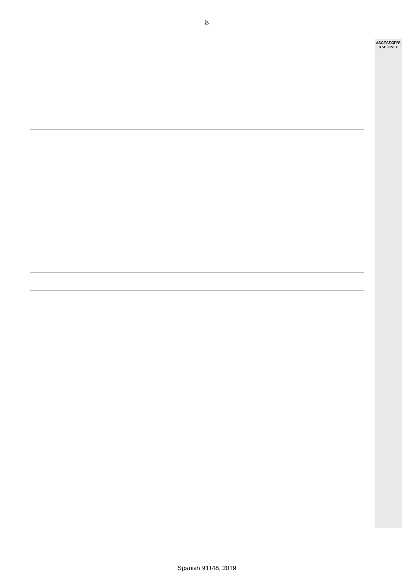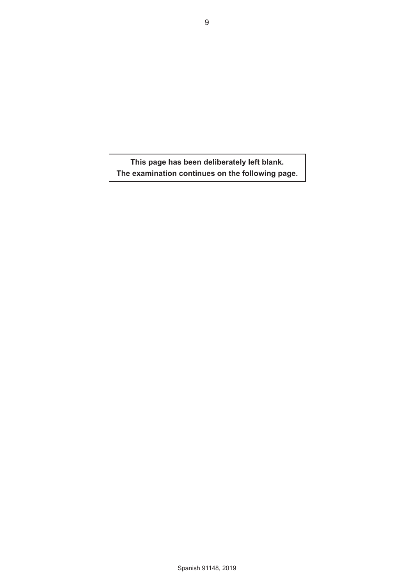**This page has been deliberately left blank. The examination continues on the following page.**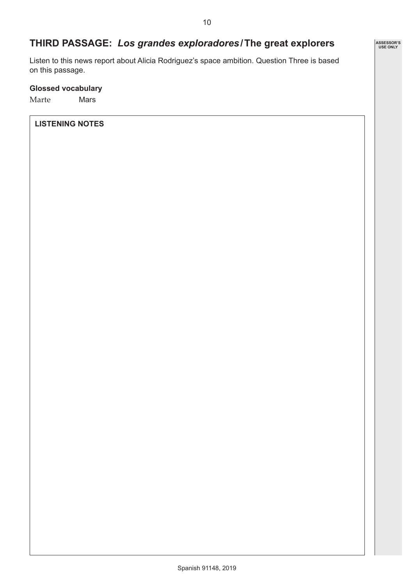### **THIRD PASSAGE:** *Los grandes exploradores***/The great explorers**

Listen to this news report about Alicia Rodriguez's space ambition. Question Three is based on this passage.

#### **Glossed vocabulary**

Marte Mars

#### **LISTENING NOTES**

**ASSESSOR'S USE ONLY**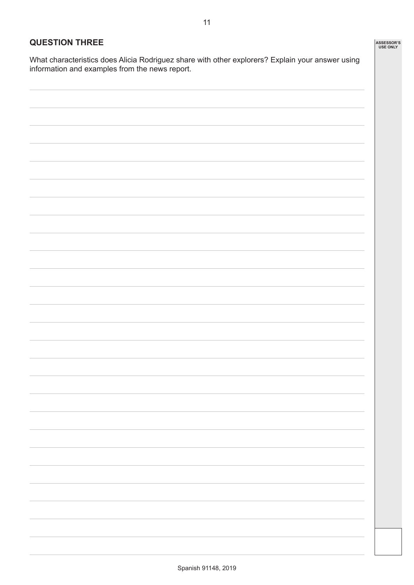### **QUESTION THREE**

What characteristics does Alicia Rodriguez share with other explorers? Explain your answer using information and examples from the news report.

| ASSESSOR'S       |
|------------------|
| <b>USE ONI Y</b> |
|                  |